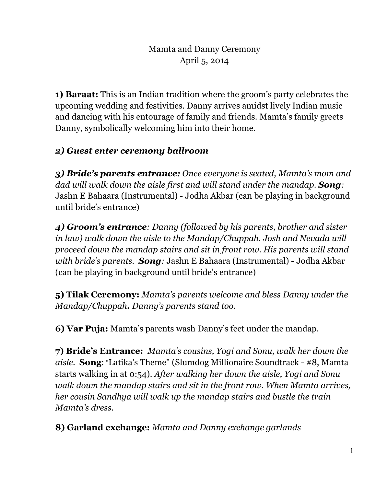**1) Baraat:** This is an Indian tradition where the groom's party celebrates the upcoming wedding and festivities. Danny arrives amidst lively Indian music and dancing with his entourage of family and friends. Mamta's family greets Danny, symbolically welcoming him into their home.

# *2) Guest enter ceremony ballroom*

*3) Bride's parents entrance: Once everyone is seated, Mamta's mom and dad will walk down the aisle first and will stand under the mandap. Song:*  Jashn E Bahaara (Instrumental) - Jodha Akbar (can be playing in background until bride's entrance)

*4) Groom's entrance: Danny (followed by his parents, brother and sister in law) walk down the aisle to the Mandap/Chuppah. Josh and Nevada will proceed down the mandap stairs and sit in front row. His parents will stand with bride's parents. Song:* Jashn E Bahaara (Instrumental) - Jodha Akbar (can be playing in background until bride's entrance)

**5) Tilak Ceremony:** *Mamta's parents welcome and bless Danny under the Mandap/Chuppah. Danny's parents stand too.*

**6) Var Puja:** Mamta's parents wash Danny's feet under the mandap.

**7) Bride's Entrance:** *Mamta's cousins, Yogi and Sonu, walk her down the aisle.* **Song**: "Latika's Theme" (Slumdog Millionaire Soundtrack - #8, Mamta starts walking in at 0:54). *After walking her down the aisle, Yogi and Sonu walk down the mandap stairs and sit in the front row. When Mamta arrives, her cousin Sandhya will walk up the mandap stairs and bustle the train Mamta's dress.* 

**8) Garland exchange:** *Mamta and Danny exchange garlands*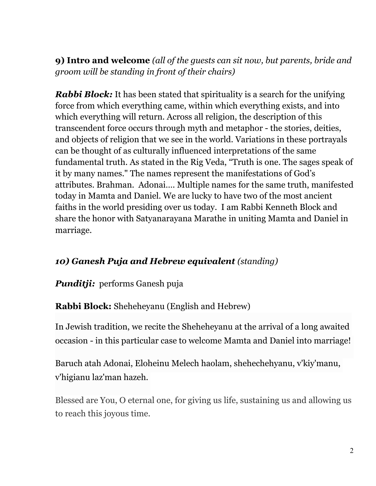**9) Intro and welcome** *(all of the guests can sit now, but parents, bride and groom will be standing in front of their chairs)* 

*Rabbi Block:* It has been stated that spirituality is a search for the unifying force from which everything came, within which everything exists, and into which everything will return. Across all religion, the description of this transcendent force occurs through myth and metaphor - the stories, deities, and objects of religion that we see in the world. Variations in these portrayals can be thought of as culturally influenced interpretations of the same fundamental truth. As stated in the Rig Veda, "Truth is one. The sages speak of it by many names." The names represent the manifestations of God's attributes. Brahman. Adonai…. Multiple names for the same truth, manifested today in Mamta and Daniel. We are lucky to have two of the most ancient faiths in the world presiding over us today. I am Rabbi Kenneth Block and share the honor with Satyanarayana Marathe in uniting Mamta and Daniel in marriage.

## *10) Ganesh Puja and Hebrew equivalent (standing)*

#### *Punditji:* performs Ganesh puja

**Rabbi Block:** Sheheheyanu (English and Hebrew)

In Jewish tradition, we recite the Sheheheyanu at the arrival of a long awaited occasion - in this particular case to welcome Mamta and Daniel into marriage!

Baruch atah Adonai, Eloheinu Melech haolam, shehechehyanu, v'kiy'manu, v'higianu laz'man hazeh.

Blessed are You, O eternal one, for giving us life, sustaining us and allowing us to reach this joyous time.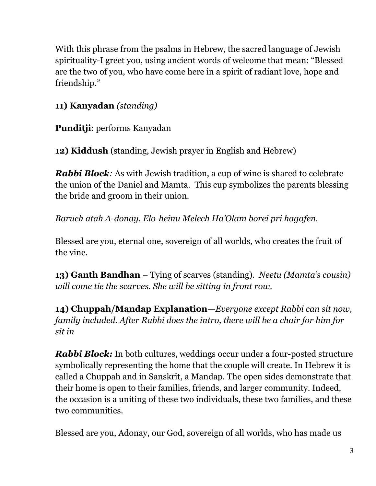With this phrase from the psalms in Hebrew, the sacred language of Jewish spirituality-I greet you, using ancient words of welcome that mean: "Blessed are the two of you, who have come here in a spirit of radiant love, hope and friendship."

## **11) Kanyadan** *(standing)*

**Punditji**: performs Kanyadan

**12) Kiddush** (standing, Jewish prayer in English and Hebrew)

*Rabbi Block:* As with Jewish tradition, a cup of wine is shared to celebrate the union of the Daniel and Mamta. This cup symbolizes the parents blessing the bride and groom in their union.

*Baruch atah A-donay, Elo-heinu Melech Ha'Olam borei pri hagafen.* 

Blessed are you, eternal one, sovereign of all worlds, who creates the fruit of the vine.

**13) Ganth Bandhan** – Tying of scarves (standing). *Neetu (Mamta's cousin) will come tie the scarves. She will be sitting in front row.* 

**14) Chuppah/Mandap Explanation—***Everyone except Rabbi can sit now, family included. After Rabbi does the intro, there will be a chair for him for sit in*

*Rabbi Block:* In both cultures, weddings occur under a four-posted structure symbolically representing the home that the couple will create. In Hebrew it is called a Chuppah and in Sanskrit, a Mandap. The open sides demonstrate that their home is open to their families, friends, and larger community. Indeed, the occasion is a uniting of these two individuals, these two families, and these two communities.

Blessed are you, Adonay, our God, sovereign of all worlds, who has made us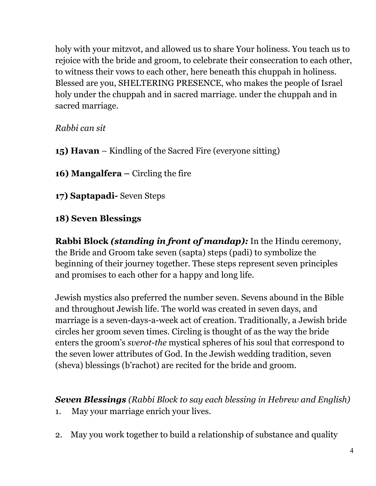holy with your mitzvot, and allowed us to share Your holiness. You teach us to rejoice with the bride and groom, to celebrate their consecration to each other, to witness their vows to each other, here beneath this chuppah in holiness. Blessed are you, SHELTERING PRESENCE, who makes the people of Israel holy under the chuppah and in sacred marriage. under the chuppah and in sacred marriage.

*Rabbi can sit* 

**15) Havan** – Kindling of the Sacred Fire (everyone sitting)

16) Mangalfera – Circling the fire

**17) Saptapadi-** Seven Steps

## **18) Seven Blessings**

**Rabbi Block** *(standing in front of mandap):* In the Hindu ceremony, the Bride and Groom take seven (sapta) steps (padi) to symbolize the beginning of their journey together. These steps represent seven principles and promises to each other for a happy and long life.

Jewish mystics also preferred the number seven. Sevens abound in the Bible and throughout Jewish life. The world was created in seven days, and marriage is a seven-days-a-week act of creation. Traditionally, a Jewish bride circles her groom seven times. Circling is thought of as the way the bride enters the groom's *sverot-the* mystical spheres of his soul that correspond to the seven lower attributes of God. In the Jewish wedding tradition, seven (sheva) blessings (b'rachot) are recited for the bride and groom.

*Seven Blessings (Rabbi Block to say each blessing in Hebrew and English)* 

- 1. May your marriage enrich your lives.
- 2. May you work together to build a relationship of substance and quality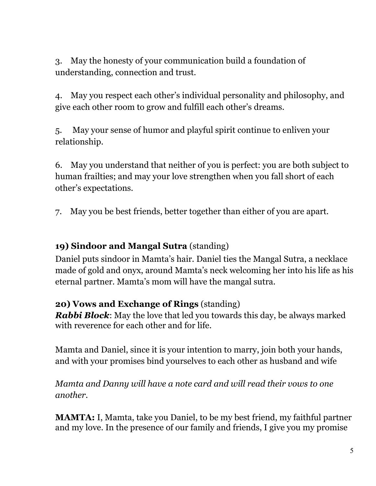3. May the honesty of your communication build a foundation of understanding, connection and trust.

4. May you respect each other's individual personality and philosophy, and give each other room to grow and fulfill each other's dreams.

5. May your sense of humor and playful spirit continue to enliven your relationship.

6. May you understand that neither of you is perfect: you are both subject to human frailties; and may your love strengthen when you fall short of each other's expectations.

7. May you be best friends, better together than either of you are apart.

#### **19) Sindoor and Mangal Sutra** (standing)

Daniel puts sindoor in Mamta's hair. Daniel ties the Mangal Sutra, a necklace made of gold and onyx, around Mamta's neck welcoming her into his life as his eternal partner. Mamta's mom will have the mangal sutra.

#### **20) Vows and Exchange of Rings** (standing)

*Rabbi Block*: May the love that led you towards this day, be always marked with reverence for each other and for life.

Mamta and Daniel, since it is your intention to marry, join both your hands, and with your promises bind yourselves to each other as husband and wife

*Mamta and Danny will have a note card and will read their vows to one another.*

**MAMTA:** I, Mamta, take you Daniel, to be my best friend, my faithful partner and my love. In the presence of our family and friends, I give you my promise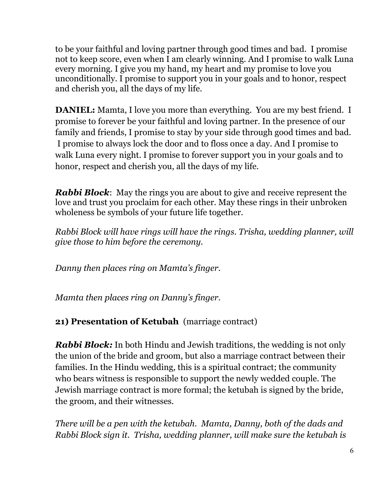to be your faithful and loving partner through good times and bad. I promise not to keep score, even when I am clearly winning. And I promise to walk Luna every morning. I give you my hand, my heart and my promise to love you unconditionally. I promise to support you in your goals and to honor, respect and cherish you, all the days of my life.

**DANIEL:** Mamta, I love you more than everything. You are my best friend. I promise to forever be your faithful and loving partner. In the presence of our family and friends, I promise to stay by your side through good times and bad. I promise to always lock the door and to floss once a day. And I promise to walk Luna every night. I promise to forever support you in your goals and to honor, respect and cherish you, all the days of my life.

*Rabbi Block*: May the rings you are about to give and receive represent the love and trust you proclaim for each other. May these rings in their unbroken wholeness be symbols of your future life together.

*Rabbi Block will have rings will have the rings. Trisha, wedding planner, will give those to him before the ceremony.* 

*Danny then places ring on Mamta's finger.* 

*Mamta then places ring on Danny's finger.*

**21) Presentation of Ketubah** (marriage contract)

*Rabbi Block:* In both Hindu and Jewish traditions, the wedding is not only the union of the bride and groom, but also a marriage contract between their families. In the Hindu wedding, this is a spiritual contract; the community who bears witness is responsible to support the newly wedded couple. The Jewish marriage contract is more formal; the ketubah is signed by the bride, the groom, and their witnesses.

*There will be a pen with the ketubah. Mamta, Danny, both of the dads and Rabbi Block sign it. Trisha, wedding planner, will make sure the ketubah is*